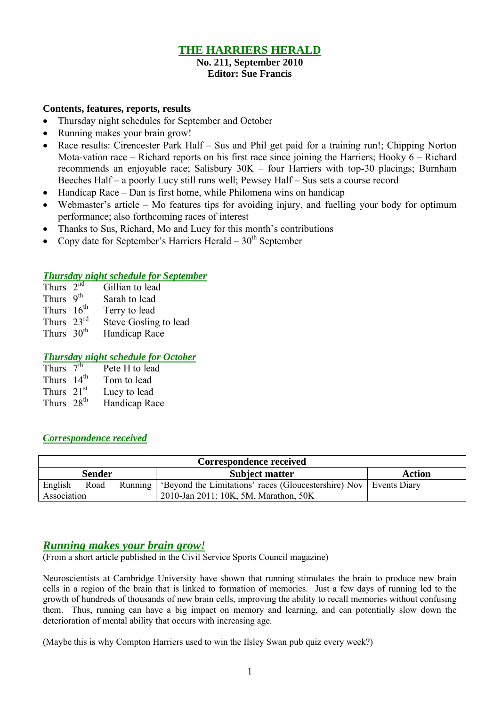## **THE HARRIERS HERALD**

#### **No. 211, September 2010 Editor: Sue Francis**

#### **Contents, features, reports, results**

- Thursday night schedules for September and October
- Running makes your brain grow!
- Race results: Cirencester Park Half Sus and Phil get paid for a training run!; Chipping Norton Mota-vation race – Richard reports on his first race since joining the Harriers; Hooky 6 – Richard recommends an enjoyable race; Salisbury 30K – four Harriers with top-30 placings; Burnham Beeches Half – a poorly Lucy still runs well; Pewsey Half – Sus sets a course record
- $\bullet$  Handicap Race Dan is first home, while Philomena wins on handicap
- Webmaster's article Mo features tips for avoiding injury, and fuelling your body for optimum performance; also forthcoming races of interest
- Thanks to Sus, Richard, Mo and Lucy for this month's contributions
- Copy date for September's Harriers Herald  $-30<sup>th</sup>$  September

#### *Thursday night schedule for September*

| Thurs $2nd$                        | Gillian to lead                                           |
|------------------------------------|-----------------------------------------------------------|
| Thurs $9th$                        | Sarah to lead                                             |
| Thurs $16th$                       | Terry to lead                                             |
| $Th$ $\sim$ $\gamma$ <sup>rd</sup> | $Q_{\text{tors}}$ $Q_{\text{coll}}$ $\sim$ $\pm$ $\sim$ 1 |

- Thurs  $23^{\text{th}}$  Steve Gosling to lead<br>Thurs  $30^{\text{th}}$  Handicap Race
- Handicap Race

#### *Thursday night schedule for October*

| Thurs $7th$            | Pete H to lead |
|------------------------|----------------|
| Thurs $14th$           | Tom to lead    |
| Thurs $21st$           | Lucy to lead   |
| Thurs 28 <sup>th</sup> | Handicap Race  |
|                        |                |

#### *Correspondence received*

| <b>Correspondence received</b> |               |               |                                                                               |  |  |  |  |
|--------------------------------|---------------|---------------|-------------------------------------------------------------------------------|--|--|--|--|
|                                | <b>Sender</b> | <b>Action</b> |                                                                               |  |  |  |  |
| English                        | Road          |               | Running   'Beyond the Limitations' races (Gloucestershire) Nov   Events Diary |  |  |  |  |
| Association                    |               |               |                                                                               |  |  |  |  |

## *Running makes your brain grow!*

(From a short article published in the Civil Service Sports Council magazine)

Neuroscientists at Cambridge University have shown that running stimulates the brain to produce new brain cells in a region of the brain that is linked to formation of memories. Just a few days of running led to the growth of hundreds of thousands of new brain cells, improving the ability to recall memories without confusing them. Thus, running can have a big impact on memory and learning, and can potentially slow down the deterioration of mental ability that occurs with increasing age.

(Maybe this is why Compton Harriers used to win the Ilsley Swan pub quiz every week?)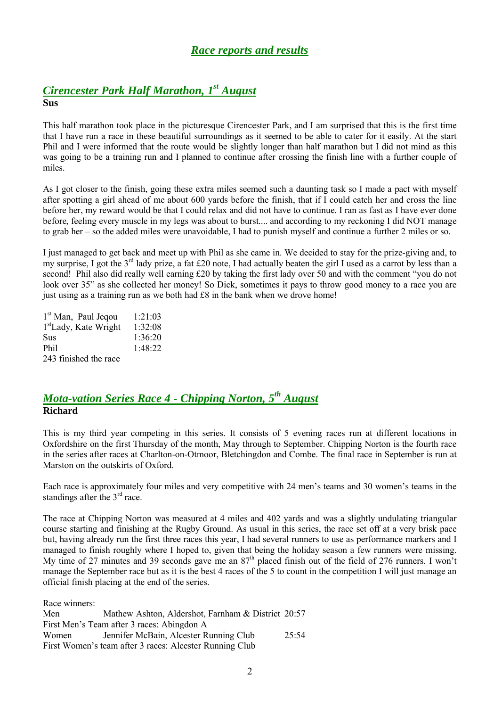## *Race reports and results*

#### *Cirencester Park Half Marathon, 1 st August* **Sus**

This half marathon took place in the picturesque Cirencester Park, and I am surprised that this is the first time that I have run a race in these beautiful surroundings as it seemed to be able to cater for it easily. At the start Phil and I were informed that the route would be slightly longer than half marathon but I did not mind as this was going to be a training run and I planned to continue after crossing the finish line with a further couple of miles.

As I got closer to the finish, going these extra miles seemed such a daunting task so I made a pact with myself after spotting a girl ahead of me about 600 yards before the finish, that if I could catch her and cross the line before her, my reward would be that I could relax and did not have to continue. I ran as fast as I have ever done before, feeling every muscle in my legs was about to burst.... and according to my reckoning I did NOT manage to grab her – so the added miles were unavoidable, I had to punish myself and continue a further 2 miles or so.

I just managed to get back and meet up with Phil as she came in. We decided to stay for the prize-giving and, to my surprise, I got the  $3<sup>rd</sup>$  lady prize, a fat £20 note, I had actually beaten the girl I used as a carrot by less than a second! Phil also did really well earning £20 by taking the first lady over 50 and with the comment "you do not look over 35" as she collected her money! So Dick, sometimes it pays to throw good money to a race you are just using as a training run as we both had £8 in the bank when we drove home!

| 1 <sup>st</sup> Man, Paul Jeqou   | 1:21:03 |
|-----------------------------------|---------|
| 1 <sup>st</sup> Lady, Kate Wright | 1:32:08 |
| Sus                               | 1:36:20 |
| Phil                              | 1:48:22 |
| 243 finished the race             |         |

## *Mota-vation Series Race 4 - Chipping Norton, 5 th August* **Richard**

This is my third year competing in this series. It consists of 5 evening races run at different locations in Oxfordshire on the first Thursday of the month, May through to September. Chipping Norton is the fourth race in the series after races at Charlton-on-Otmoor, Bletchingdon and Combe. The final race in September is run at Marston on the outskirts of Oxford.

Each race is approximately four miles and very competitive with 24 men's teams and 30 women's teams in the standings after the 3<sup>rd</sup> race.

The race at Chipping Norton was measured at 4 miles and 402 yards and was a slightly undulating triangular course starting and finishing at the Rugby Ground. As usual in this series, the race set off at a very brisk pace but, having already run the first three races this year, I had several runners to use as performance markers and I managed to finish roughly where I hoped to, given that being the holiday season a few runners were missing. My time of 27 minutes and 39 seconds gave me an 87<sup>th</sup> placed finish out of the field of 276 runners. I won't manage the September race but as it is the best 4 races of the 5 to count in the competition I will just manage an official finish placing at the end of the series.

| Race winners: |                                                         |       |
|---------------|---------------------------------------------------------|-------|
| Men           | Mathew Ashton, Aldershot, Farnham & District 20:57      |       |
|               | First Men's Team after 3 races: Abingdon A              |       |
| Women         | Jennifer McBain, Alcester Running Club                  | 25:54 |
|               | First Women's team after 3 races: Alcester Running Club |       |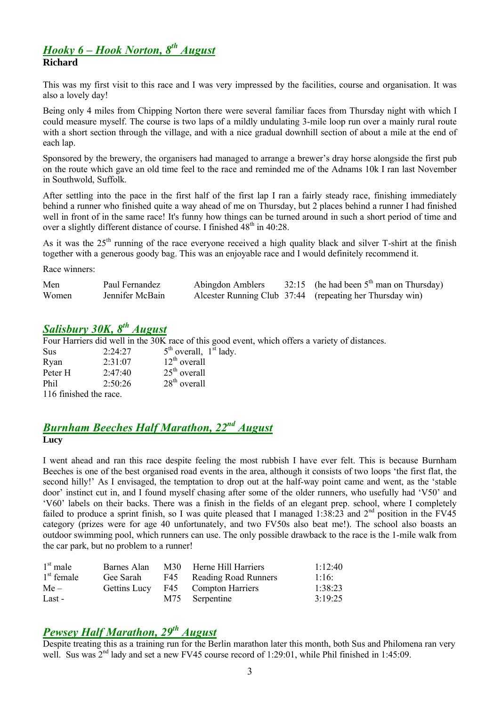## *Hooky 6 – Hook Norton, 8 th August* **Richard**

This was my first visit to this race and I was very impressed by the facilities, course and organisation. It was also a lovely day!

Being only 4 miles from Chipping Norton there were several familiar faces from Thursday night with which I could measure myself. The course is two laps of a mildly undulating 3-mile loop run over a mainly rural route with a short section through the village, and with a nice gradual downhill section of about a mile at the end of each lap.

Sponsored by the brewery, the organisers had managed to arrange a brewer's dray horse alongside the first pub on the route which gave an old time feel to the race and reminded me of the Adnams 10k I ran last November in Southwold, Suffolk.

After settling into the pace in the first half of the first lap I ran a fairly steady race, finishing immediately behind a runner who finished quite a way ahead of me on Thursday, but 2 places behind a runner I had finished well in front of in the same race! It's funny how things can be turned around in such a short period of time and over a slightly different distance of course. I finished  $48<sup>th</sup>$  in 40:28.

As it was the 25<sup>th</sup> running of the race everyone received a high quality black and silver T-shirt at the finish together with a generous goody bag. This was an enjoyable race and I would definitely recommend it.

Race winners:

| Men   | Paul Fernandez  | Abingdon Amblers | 32:15 (he had been $5th$ man on Thursday)                |
|-------|-----------------|------------------|----------------------------------------------------------|
| Women | Jennifer McBain |                  | Alcester Running Club 37:44 (repeating her Thursday win) |

# *Salisbury 30K, 8 th August*

Four Harriers did well in the 30K race of this good event, which offers a variety of distances.

| Sus                    | 2.24.27         | $5th$ overall, $1st$ lady. |
|------------------------|-----------------|----------------------------|
| Ryan                   | $2.31 \cdot 07$ | $12th$ overall             |
| Peter H                | 2:47:40         | $25th$ overall             |
| Phil                   | 2:50:26         | $28th$ overall             |
| 116 finished the race. |                 |                            |

## *Burnham Beeches Half Marathon, 22nd August* **Lucy**

I went ahead and ran this race despite feeling the most rubbish I have ever felt. This is because Burnham Beeches is one of the best organised road events in the area, although it consists of two loops 'the first flat, the second hilly!' As I envisaged, the temptation to drop out at the half-way point came and went, as the 'stable door' instinct cut in, and I found myself chasing after some of the older runners, who usefully had 'V50' and 'V60' labels on their backs. There was a finish in the fields of an elegant prep. school, where I completely failed to produce a sprint finish, so I was quite pleased that I managed  $1:38:23$  and  $2<sup>nd</sup>$  position in the FV45 category (prizes were for age 40 unfortunately, and two FV50s also beat me!). The school also boasts an outdoor swimming pool, which runners can use. The only possible drawback to the race is the 1-mile walk from the car park, but no problem to a runner!

| $1st$ male   | Barnes Alan  | M30 Herne Hill Harriers  | 1:12:40 |
|--------------|--------------|--------------------------|---------|
| $1st$ female | Gee Sarah    | F45 Reading Road Runners | 1:16:   |
| $Me-$        | Gettins Lucy | F45 Compton Harriers     | 1:38:23 |
| Last -       |              | M75 Serpentine           | 3:19:25 |

# *Pewsey Half Marathon, 29th August*

Despite treating this as a training run for the Berlin marathon later this month, both Sus and Philomena ran very well. Sus was  $2^{nd}$  lady and set a new FV45 course record of 1:29:01, while Phil finished in 1:45:09.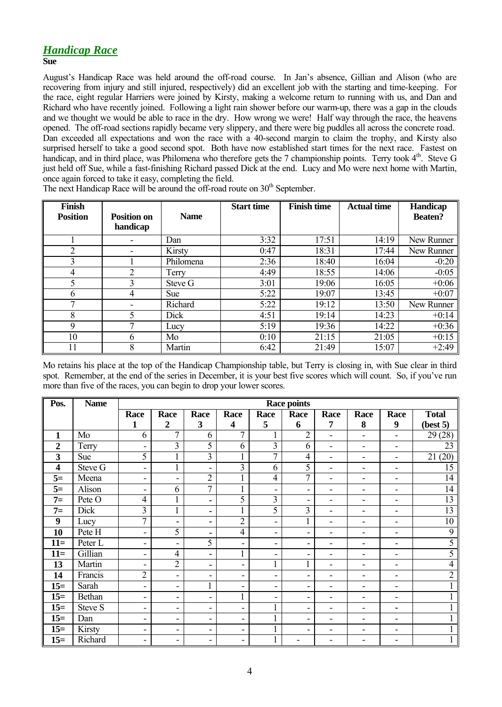## *Handicap Race*

#### **Sue**

August's Handicap Race was held around the off-road course. In Jan's absence, Gillian and Alison (who are recovering from injury and still injured, respectively) did an excellent job with the starting and time-keeping. For the race, eight regular Harriers were joined by Kirsty, making a welcome return to running with us, and Dan and Richard who have recently joined. Following a light rain shower before our warm-up, there was a gap in the clouds and we thought we would be able to race in the dry. How wrong we were! Half way through the race, the heavens opened. The off-road sections rapidly became very slippery, and there were big puddles all across the concrete road. Dan exceeded all expectations and won the race with a 40-second margin to claim the trophy, and Kirsty also surprised herself to take a good second spot. Both have now established start times for the next race. Fastest on handicap, and in third place, was Philomena who therefore gets the 7 championship points. Terry took 4<sup>th</sup>. Steve G just held off Sue, while a fast-finishing Richard passed Dick at the end. Lucy and Mo were next home with Martin, once again forced to take it easy, completing the field.

The next Handicap Race will be around the off-road route on 30<sup>th</sup> September.

| <b>Finish</b><br><b>Position</b> | <b>Position on</b> | <b>Name</b> | <b>Start time</b> | <b>Finish time</b> | <b>Actual time</b> | <b>Handicap</b><br><b>Beaten?</b> |
|----------------------------------|--------------------|-------------|-------------------|--------------------|--------------------|-----------------------------------|
|                                  | handicap           |             |                   |                    |                    |                                   |
|                                  |                    | Dan         | 3:32              | 17:51              | 14:19              | New Runner                        |
| 2                                | -                  | Kirsty      | 0:47              | 18:31              | 17:44              | New Runner                        |
| 3                                |                    | Philomena   | 2:36              | 18:40              | 16:04              | $-0:20$                           |
| 4                                |                    | Terry       | 4:49              | 18:55              | 14:06              | $-0:05$                           |
| 5                                | 3                  | Steve G     | 3:01              | 19:06              | 16:05              | $+0:06$                           |
| 6                                | 4                  | <b>Sue</b>  | 5:22              | 19:07              | 13:45              | $+0:07$                           |
| 7                                | -                  | Richard     | 5:22              | 19:12              | 13:50              | New Runner                        |
| 8                                | 5.                 | Dick        | 4:51              | 19:14              | 14:23              | $+0:14$                           |
| 9                                |                    | Lucy        | 5:19              | 19:36              | 14:22              | $+0:36$                           |
| 10                               | 6                  | Mo          | 0:10              | 21:15              | 21:05              | $+0:15$                           |
| 11                               | 8                  | Martin      | 6:42              | 21:49              | 15:07              | $+2:49$                           |

Mo retains his place at the top of the Handicap Championship table, but Terry is closing in, with Sue clear in third spot. Remember, at the end of the series in December, it is your best five scores which will count. So, if you've run more than five of the races, you can begin to drop your lower scores.

| Pos.                    | <b>Name</b>          | <b>Race points</b>           |                          |                          |                         |                          |                          |                          |                              |                          |                |
|-------------------------|----------------------|------------------------------|--------------------------|--------------------------|-------------------------|--------------------------|--------------------------|--------------------------|------------------------------|--------------------------|----------------|
|                         |                      | Race                         | Race                     | Race                     | Race                    | Race                     | Race                     | Race                     | Race                         | Race                     | <b>Total</b>   |
|                         |                      | 1                            | $\boldsymbol{2}$         | $\overline{\mathbf{3}}$  | $\overline{\mathbf{4}}$ | 5                        | 6                        | 7                        | 8                            | $\boldsymbol{9}$         | (best 5)       |
| $\mathbf{1}$            | Mo                   | 6                            | $\overline{7}$           | 6                        | $\overline{7}$          | $\mathbf{1}$             | $\overline{2}$           | $\overline{\phantom{a}}$ | $\blacksquare$               | $\overline{\phantom{a}}$ | 29(28)         |
| $\boldsymbol{2}$        | Terry                | $\overline{\phantom{0}}$     | $\overline{3}$           | 5                        | 6                       | 3                        | 6                        | $\blacksquare$           | $\overline{\phantom{a}}$     | $\overline{\phantom{a}}$ | 23             |
| 3                       | Sue                  | 5                            | $\mathbf{1}$             | $\overline{3}$           |                         | $\overline{7}$           | 4                        | $\blacksquare$           | ۰                            | $\blacksquare$           | (20)<br>21     |
| $\overline{\mathbf{4}}$ | Steve $\overline{G}$ | $\blacksquare$               | $\mathbf{1}$             | $\blacksquare$           | 3                       | 6                        | 5                        | $\blacksquare$           | $\overline{\phantom{a}}$     | $\overline{\phantom{a}}$ | 15             |
| $5=$                    | Meena                | ۰                            | ۰                        | $\overline{2}$           |                         | $\overline{4}$           | $\overline{7}$           | $\blacksquare$           | $\overline{\phantom{a}}$     | $\overline{\phantom{a}}$ | 14             |
| $5=$                    | Alison               | $\qquad \qquad \blacksquare$ | 6                        | $\overline{7}$           | 1<br>T.                 | -                        | $\overline{\phantom{0}}$ |                          |                              |                          | 14             |
| $7=$                    | Pete O               | $\overline{4}$               | $\mathbf{1}$             | ٠                        | 5                       | $\overline{3}$           | ۰                        | $\overline{\phantom{0}}$ |                              | $\overline{\phantom{a}}$ | 13             |
| $7=$                    | Dick                 | 3                            | 1                        | ٠                        |                         | 5                        | 3                        | $\blacksquare$           | $\overline{\phantom{0}}$     | $\blacksquare$           | 13             |
| 9                       | Lucy                 | $\overline{7}$               | ٠                        | ۰                        | $\overline{2}$          | ۰                        |                          | $\blacksquare$           | ۰                            | $\blacksquare$           | 10             |
| 10                      | Pete H               | ÷,                           | 5                        | ۰                        | 4                       | -                        | ۰                        | $\overline{\phantom{a}}$ | ٠                            | $\overline{\phantom{a}}$ | 9              |
| $11=$                   | Peter L              | -                            | $\overline{\phantom{a}}$ | 5                        | Ξ.                      | -                        | $\overline{\phantom{a}}$ |                          |                              |                          | 5              |
| $11=$                   | Gillian              | -                            | $\overline{4}$           | ٠                        | 1                       | $\overline{\phantom{0}}$ | ۰                        | $\blacksquare$           | ٠                            | $\overline{\phantom{a}}$ | 5              |
| 13                      | Martin               | -                            | $\overline{2}$           | ۰                        | -                       | $\mathbf{1}$             | $\mathbf{1}$             | $\blacksquare$           | $\overline{\phantom{a}}$     | $\overline{\phantom{a}}$ | 4              |
| 14                      | Francis              | $\sqrt{2}$                   | $\overline{\phantom{a}}$ | $\overline{\phantom{a}}$ | -                       | -                        | $\overline{\phantom{0}}$ | $\overline{\phantom{a}}$ | $\qquad \qquad \blacksquare$ | $\overline{\phantom{a}}$ | $\overline{2}$ |
| $15=$                   | Sarah                | $\overline{\phantom{0}}$     | -                        | 1<br>T.                  | ۰                       | ۰                        | ۰                        |                          |                              | ٠                        |                |
| $15=$                   | Bethan               | $\overline{\phantom{0}}$     | -                        | $\blacksquare$           | 1                       | -                        | ۰                        |                          |                              | ۰                        |                |
| $15=$                   | Steve S              | $\overline{\phantom{0}}$     | $\overline{\phantom{a}}$ | $\blacksquare$           | ۰                       | $\mathbf{1}$             | ۰                        | $\overline{\phantom{0}}$ | ٠                            | $\blacksquare$           |                |
| $15=$                   | Dan                  | $\qquad \qquad \blacksquare$ | ٠                        | $\overline{\phantom{a}}$ | ۰                       |                          | ۰                        | $\blacksquare$           | ٠                            | $\blacksquare$           |                |
| $15=$                   | Kirsty               | -                            | $\overline{\phantom{a}}$ | $\overline{\phantom{a}}$ | -                       | $\mathbf{1}$             | ۰                        |                          | -                            | $\overline{\phantom{a}}$ |                |
| $15=$                   | Richard              | $\qquad \qquad \blacksquare$ | -                        | -                        | -                       | $\mathbf{1}$             |                          |                          |                              |                          |                |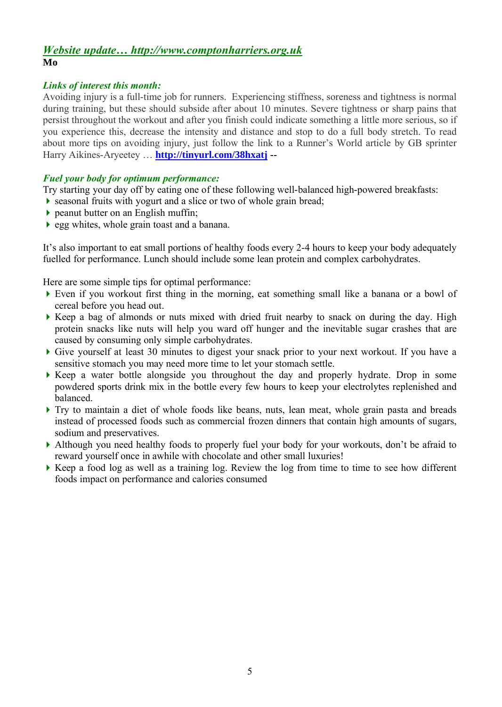### *Website update… http://www.comptonharriers.org.uk* **Mo**

### *Links of interest this month:*

Avoiding injury is a full-time job for runners. Experiencing stiffness, soreness and tightness is normal during training, but these should subside after about 10 minutes. Severe tightness or sharp pains that persist throughout the workout and after you finish could indicate something a little more serious, so if you experience this, decrease the intensity and distance and stop to do a full body stretch. To read about more tips on avoiding injury, just follow the link to a Runner's World article by GB sprinter Harry Aikines-Aryeetey … **http://tinyurl.com/38hxatj --**

#### *Fuel your body for optimum performance:*

Try starting your day off by eating one of these following well-balanced high-powered breakfasts:

- seasonal fruits with yogurt and a slice or two of whole grain bread;
- $\triangleright$  peanut butter on an English muffin;
- egg whites, whole grain toast and a banana.

It's also important to eat small portions of healthy foods every 2-4 hours to keep your body adequately fuelled for performance. Lunch should include some lean protein and complex carbohydrates.

Here are some simple tips for optimal performance:

- Even if you workout first thing in the morning, eat something small like a banana or a bowl of cereal before you head out.
- Keep a bag of almonds or nuts mixed with dried fruit nearby to snack on during the day. High protein snacks like nuts will help you ward off hunger and the inevitable sugar crashes that are caused by consuming only simple carbohydrates.
- Give yourself at least 30 minutes to digest your snack prior to your next workout. If you have a sensitive stomach you may need more time to let your stomach settle.
- $\blacktriangleright$  Keep a water bottle alongside you throughout the day and properly hydrate. Drop in some powdered sports drink mix in the bottle every few hours to keep your electrolytes replenished and balanced.
- Try to maintain a diet of whole foods like beans, nuts, lean meat, whole grain pasta and breads instead of processed foods such as commercial frozen dinners that contain high amounts of sugars, sodium and preservatives.
- Although you need healthy foods to properly fuel your body for your workouts, don't be afraid to reward yourself once in awhile with chocolate and other small luxuries!
- Keep a food log as well as a training log. Review the log from time to time to see how different foods impact on performance and calories consumed